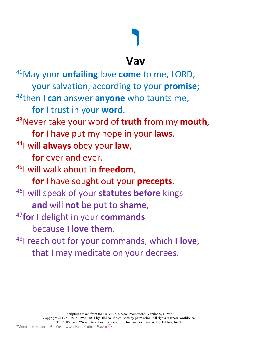## **ו**

**Vav**

41May your **unfailing** love **come** to me, LORD, your salvation, according to your **promise**; 42then I **can** answer **anyone** who taunts me, **for** I trust in your **word**. 43Never take your word of **truth** from my **mouth**, **for** I have put my hope in your **laws**. 44I will **always** obey your **law**, **for** ever and ever. 45I will walk about in **freedom**, **for** I have sought out your **precepts**. 46I will speak of your **statutes before** kings **and** will **not** be put to **shame**, <sup>47</sup>**for** I delight in your **commands** because **I love them**. 48I reach out for your commands, which **I love**, **that** I may meditate on your decrees.